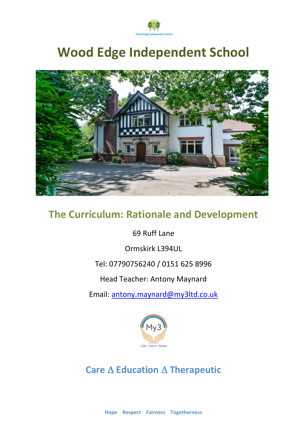

# **Wood Edge Independent School**



## **The Curriculum: Rationale and Development**

69 Ruff Lane

Ormskirk L394UL

### Tel: 07790756240 / 0151 625 8996

Head Teacher: Antony Maynard

Email: [antony.maynard@my3ltd.co.uk](mailto:antony.maynard@my3ltd.co.uk)



**Care Education Therapeutic**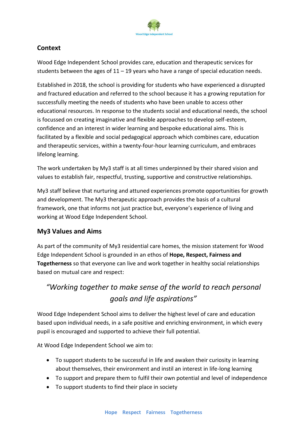

#### **Context**

Wood Edge Independent School provides care, education and therapeutic services for students between the ages of  $11 - 19$  years who have a range of special education needs.

Established in 2018, the school is providing for students who have experienced a disrupted and fractured education and referred to the school because it has a growing reputation for successfully meeting the needs of students who have been unable to access other educational resources. In response to the students social and educational needs, the school is focussed on creating imaginative and flexible approaches to develop self-esteem, confidence and an interest in wider learning and bespoke educational aims. This is facilitated by a flexible and social pedagogical approach which combines care, education and therapeutic services, within a twenty-four-hour learning curriculum, and embraces lifelong learning.

The work undertaken by My3 staff is at all times underpinned by their shared vision and values to establish fair, respectful, trusting, supportive and constructive relationships.

My3 staff believe that nurturing and attuned experiences promote opportunities for growth and development. The My3 therapeutic approach provides the basis of a cultural framework, one that informs not just practice but, everyone's experience of living and working at Wood Edge Independent School.

#### **My3 Values and Aims**

As part of the community of My3 residential care homes, the mission statement for Wood Edge Independent School is grounded in an ethos of **Hope, Respect, Fairness and Togetherness** so that everyone can live and work together in healthy social relationships based on mutual care and respect:

## *"Working together to make sense of the world to reach personal goals and life aspirations"*

Wood Edge Independent School aims to deliver the highest level of care and education based upon individual needs, in a safe positive and enriching environment, in which every pupil is encouraged and supported to achieve their full potential.

At Wood Edge Independent School we aim to:

- To support students to be successful in life and awaken their curiosity in learning about themselves, their environment and instil an interest in life-long learning
- To support and prepare them to fulfil their own potential and level of independence
- To support students to find their place in society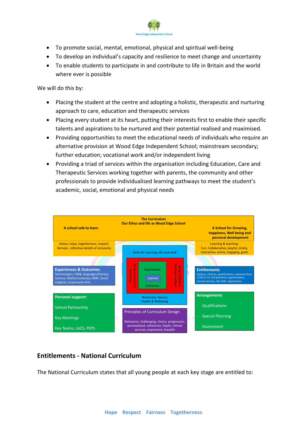

- To promote social, mental, emotional, physical and spiritual well-being
- To develop an individual's capacity and resilience to meet change and uncertainty
- To enable students to participate in and contribute to life in Britain and the world where ever is possible

We will do this by:

- Placing the student at the centre and adopting a holistic, therapeutic and nurturing approach to care, education and therapeutic services
- Placing every student at its heart, putting their interests first to enable their specific talents and aspirations to be nurtured and their potential realised and maximised.
- Providing opportunities to meet the educational needs of individuals who require an alternative provision at Wood Edge Independent School; mainstream secondary; further education; vocational work and/or independent living
- Providing a triad of services within the organisation including Education, Care and Therapeutic Services working together with parents, the community and other professionals to provide individualised learning pathways to meet the student's academic, social, emotional and physical needs



#### **Entitlements - National Curriculum**

The National Curriculum states that all young people at each key stage are entitled to: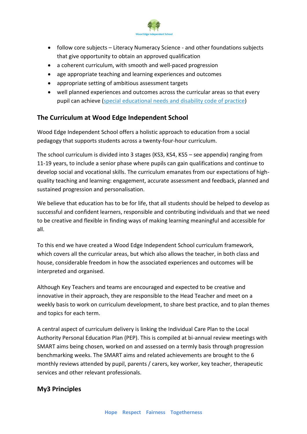

- follow core subjects Literacy Numeracy Science and other foundations subjects that give opportunity to obtain an approved qualification
- a coherent curriculum, with smooth and well-paced progression
- age appropriate teaching and learning experiences and outcomes
- appropriate setting of ambitious assessment targets
- well planned experiences and outcomes across the curricular areas so that every pupil can achieve (special [educational](https://www.gov.uk/government/publications/send-code-of-practice-0-to-25) needs and disability code of practice)

#### **The Curriculum at Wood Edge Independent School**

Wood Edge Independent School offers a holistic approach to education from a social pedagogy that supports students across a twenty-four-hour curriculum.

The school curriculum is divided into 3 stages (KS3, KS4, KS5 – see appendix) ranging from 11-19 years, to include a senior phase where pupils can gain qualifications and continue to develop social and vocational skills. The curriculum emanates from our expectations of highquality teaching and learning: engagement, accurate assessment and feedback, planned and sustained progression and personalisation.

We believe that education has to be for life, that all students should be helped to develop as successful and confident learners, responsible and contributing individuals and that we need to be creative and flexible in finding ways of making learning meaningful and accessible for all.

To this end we have created a Wood Edge Independent School curriculum framework, which covers all the curricular areas, but which also allows the teacher, in both class and house, considerable freedom in how the associated experiences and outcomes will be interpreted and organised.

Although Key Teachers and teams are encouraged and expected to be creative and innovative in their approach, they are responsible to the Head Teacher and meet on a weekly basis to work on curriculum development, to share best practice, and to plan themes and topics for each term.

A central aspect of curriculum delivery is linking the Individual Care Plan to the Local Authority Personal Education Plan (PEP). This is compiled at bi-annual review meetings with SMART aims being chosen, worked on and assessed on a termly basis through progression benchmarking weeks. The SMART aims and related achievements are brought to the 6 monthly reviews attended by pupil, parents / carers, key worker, key teacher, therapeutic services and other relevant professionals.

#### **My3 Principles**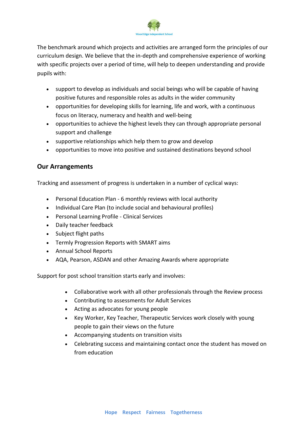

The benchmark around which projects and activities are arranged form the principles of our curriculum design. We believe that the in-depth and comprehensive experience of working with specific projects over a period of time, will help to deepen understanding and provide pupils with:

- support to develop as individuals and social beings who will be capable of having positive futures and responsible roles as adults in the wider community
- opportunities for developing skills for learning, life and work, with a continuous focus on literacy, numeracy and health and well-being
- opportunities to achieve the highest levels they can through appropriate personal support and challenge
- supportive relationships which help them to grow and develop
- opportunities to move into positive and sustained destinations beyond school

#### **Our Arrangements**

Tracking and assessment of progress is undertaken in a number of cyclical ways:

- Personal Education Plan 6 monthly reviews with local authority
- Individual Care Plan (to include social and behavioural profiles)
- Personal Learning Profile Clinical Services
- Daily teacher feedback
- Subject flight paths
- Termly Progression Reports with SMART aims
- Annual School Reports
- AQA, Pearson, ASDAN and other Amazing Awards where appropriate

Support for post school transition starts early and involves:

- Collaborative work with all other professionals through the Review process
- Contributing to assessments for Adult Services
- Acting as advocates for young people
- Key Worker, Key Teacher, Therapeutic Services work closely with young people to gain their views on the future
- Accompanying students on transition visits
- Celebrating success and maintaining contact once the student has moved on from education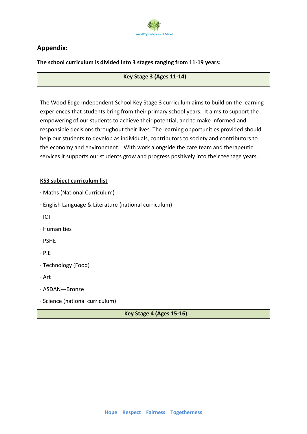

#### **Appendix:**

**The school curriculum is divided into 3 stages ranging from 11-19 years:**

#### **Key Stage 3 (Ages 11-14)**

The Wood Edge Independent School Key Stage 3 curriculum aims to build on the learning experiences that students bring from their primary school years. It aims to support the empowering of our students to achieve their potential, and to make informed and responsible decisions throughout their lives. The learning opportunities provided should help our students to develop as individuals, contributors to society and contributors to the economy and environment. With work alongside the care team and therapeutic services it supports our students grow and progress positively into their teenage years.

#### **KS3 subject curriculum list**

· Maths (National Curriculum)

· English Language & Literature (national curriculum)

· ICT

· Humanities

· PSHE

· P.E

· Technology (Food)

· Art

· ASDAN—Bronze

· Science (national curriculum)

**Key Stage 4 (Ages 15-16)**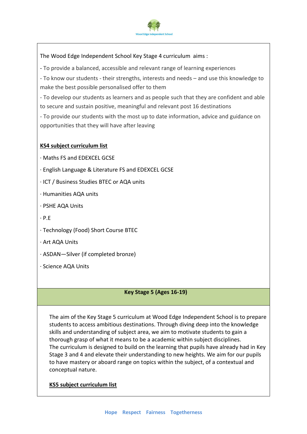

The Wood Edge Independent School Key Stage 4 curriculum aims :

- To provide a balanced, accessible and relevant range of learning experiences

- To know our students - their strengths, interests and needs – and use this knowledge to make the best possible personalised offer to them

- To develop our students as learners and as people such that they are confident and able to secure and sustain positive, meaningful and relevant post 16 destinations

- To provide our students with the most up to date information, advice and guidance on opportunities that they will have after leaving

#### **KS4 subject curriculum list**

· Maths FS and EDEXCEL GCSE

· English Language & Literature FS and EDEXCEL GCSE

· ICT / Business Studies BTEC or AQA units

· Humanities AQA units

- · PSHE AQA Units
- · P.E

· Technology (Food) Short Course BTEC

- · Art AQA Units
- · ASDAN—Silver (if completed bronze)
- · Science AQA Units

#### **Key Stage 5 (Ages 16-19)**

The aim of the Key Stage 5 curriculum at Wood Edge Independent School is to prepare students to access ambitious destinations. Through diving deep into the knowledge skills and understanding of subject area, we aim to motivate students to gain a thorough grasp of what it means to be a academic within subject disciplines. The curriculum is designed to build on the learning that pupils have already had in Key Stage 3 and 4 and elevate their understanding to new heights. We aim for our pupils to have mastery or aboard range on topics within the subject, of a contextual and conceptual nature.

#### **KS5 subject curriculum list**